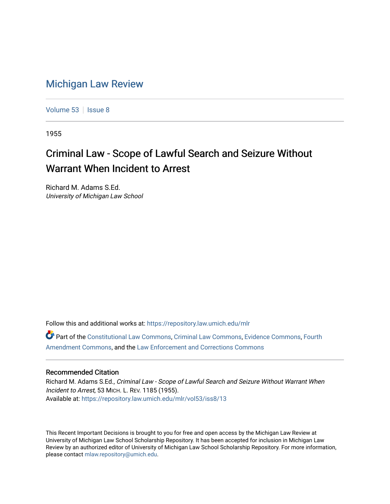## [Michigan Law Review](https://repository.law.umich.edu/mlr)

[Volume 53](https://repository.law.umich.edu/mlr/vol53) | [Issue 8](https://repository.law.umich.edu/mlr/vol53/iss8)

1955

## Criminal Law - Scope of Lawful Search and Seizure Without Warrant When Incident to Arrest

Richard M. Adams S.Ed. University of Michigan Law School

Follow this and additional works at: [https://repository.law.umich.edu/mlr](https://repository.law.umich.edu/mlr?utm_source=repository.law.umich.edu%2Fmlr%2Fvol53%2Fiss8%2F13&utm_medium=PDF&utm_campaign=PDFCoverPages) 

Part of the [Constitutional Law Commons,](http://network.bepress.com/hgg/discipline/589?utm_source=repository.law.umich.edu%2Fmlr%2Fvol53%2Fiss8%2F13&utm_medium=PDF&utm_campaign=PDFCoverPages) [Criminal Law Commons,](http://network.bepress.com/hgg/discipline/912?utm_source=repository.law.umich.edu%2Fmlr%2Fvol53%2Fiss8%2F13&utm_medium=PDF&utm_campaign=PDFCoverPages) [Evidence Commons](http://network.bepress.com/hgg/discipline/601?utm_source=repository.law.umich.edu%2Fmlr%2Fvol53%2Fiss8%2F13&utm_medium=PDF&utm_campaign=PDFCoverPages), [Fourth](http://network.bepress.com/hgg/discipline/1180?utm_source=repository.law.umich.edu%2Fmlr%2Fvol53%2Fiss8%2F13&utm_medium=PDF&utm_campaign=PDFCoverPages)  [Amendment Commons](http://network.bepress.com/hgg/discipline/1180?utm_source=repository.law.umich.edu%2Fmlr%2Fvol53%2Fiss8%2F13&utm_medium=PDF&utm_campaign=PDFCoverPages), and the [Law Enforcement and Corrections Commons](http://network.bepress.com/hgg/discipline/854?utm_source=repository.law.umich.edu%2Fmlr%2Fvol53%2Fiss8%2F13&utm_medium=PDF&utm_campaign=PDFCoverPages) 

## Recommended Citation

Richard M. Adams S.Ed., Criminal Law - Scope of Lawful Search and Seizure Without Warrant When Incident to Arrest, 53 MICH. L. REV. 1185 (1955). Available at: [https://repository.law.umich.edu/mlr/vol53/iss8/13](https://repository.law.umich.edu/mlr/vol53/iss8/13?utm_source=repository.law.umich.edu%2Fmlr%2Fvol53%2Fiss8%2F13&utm_medium=PDF&utm_campaign=PDFCoverPages) 

This Recent Important Decisions is brought to you for free and open access by the Michigan Law Review at University of Michigan Law School Scholarship Repository. It has been accepted for inclusion in Michigan Law Review by an authorized editor of University of Michigan Law School Scholarship Repository. For more information, please contact [mlaw.repository@umich.edu.](mailto:mlaw.repository@umich.edu)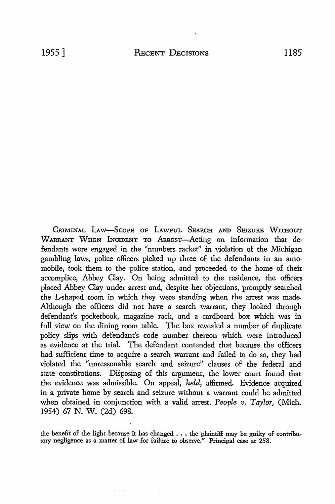CRIMINAL LAW-SCOPE OF LAWFUL SEARCH AND SEIZURE WITHOUT WARRANT WHEN INCIDENT TO ARREST-Acting on information that defendants were engaged in the "numbers racket" in violation of the Michigan gambling laws, police officers picked up three of the defendants in an automobile, took them to the police station, and proceeded to the home of their accomplice, Abbey Clay. On being admitted to the residence, the officers placed Abbey Clay under arrest and, despite her objections, promptly searched the L-shaped room in which they were standing when the arrest was made. Although the officers did not have a search warrant, they looked through defendant's pocketbook, magazine rack, and a cardboard box which was in full view on the dining room table. The box revealed a number of duplicate policy slips with defendant's code number thereon which were introduced as evidence at the trial. The defendant contended that because the officers had sufficient time to acquire a search warrant and failed to do so, they had violated the "unreasonable search and seizure" clauses of the federal and state constitutions. Disposing of this argument, the lower court found that the evidence was admissible. On appeal, *held,* affirmed. Evidence acquired in a private home by search and seizure without a warrant could be admitted when obtained in conjunction with a valid arrest. *People v. Taylor,* (Mich. 1954) 67 N. W. (2d) 698.

the benefit of the light because it has changed  $\ldots$  the plaintiff may be guilty of contributory negligence as a matter of law for failure to observe." Principal case at 258.

فالمستحدث والمستحدث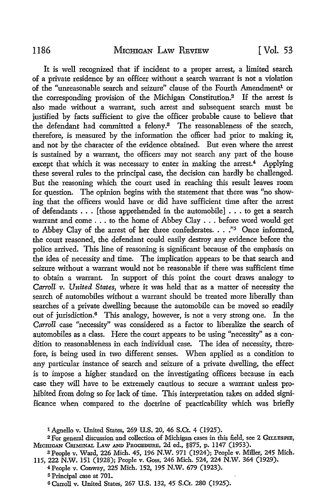It is well recognized that if incident to a proper arrest, a limited search of a private residence by an officer without a search warrant is not a violation of the "unreasonable search and seizure" clause of the Fourth Amendment<sup>1</sup> or the corresponding provision of the Michigan Constitution.<sup>2</sup> If the arrest is also made without a warrant, such arrest and subsequent search must be justified by facts sufficient to give the officer probable cause to believe that the defendant had committed a felony.<sup>3</sup> The reasonableness of the search, therefore, is measured by the information the officer had prior to making it, and not by the character of the evidence obtained. But even where the arrest is sustained by a warrant, the officers may not search any part of the house except that which it was necessary to enter in making the arrest.<sup>4</sup> Applying these several rules to the principal case, the decision can hardly be challenged. But the reasoning which the court used in reaching this result leaves room for question. The opinion begins with the statement that there was "no showing that the officers would have or did have sufficient time after the arrest of defendants ... [those apprehended in the automobile] ... to get a search warrant and come ... to the home of Abbey Clay . . . before word would get to Abbey Clay of the arrest of her three confederates.  $\ldots$ ."<sup>5</sup> Once informed, the court reasoned, the defendant could easily destroy any evidence before the police arrived. This line of reasoning is significant because of the emphasis on the idea of necessity and time. The implication appears to be that search and seizure without a warrant would not be reasonable if there was sufficient time to obtain a warrant. In support of this point the court draws analogy to *Carroll v. United States,* where it was held that as a matter of necessity the search of automobiles without a warrant should be treated more liberally than searches of a private dwelling because the automobile can be moved so readily out of jurisdiction.6 This analogy, however, is not a very strong one. In the *Carroll* case "necessity" was considered as a factor to liberalize the search of automobiles as a class. Here the court appears to be using "necessity" as a condition to reasonableness in each individual case. The idea of necessity, therefore, is being used in two different senses. When applied as a condition to any particular instance of search and seizure of a private dwelling, the effect is to impose a higher standard on the investigating officers because in each case they will have to be extremely cautious to secure a warrant unless prohibited from doing so for lack of time. This interpretation takes on added significance when compared to the doctrine of practicability which was briefly

<sup>1</sup> Agnello v. United States, 269 U.S. 20, 46 S.Ct. 4 (1925).

<sup>2</sup>For general discussion and collection of Michigan cases in this field, see 2 GILLESPIE, MICHIGAN CRIMINAL LAW AND PROCEDURE, 2d ed., §875, p. 1147 (1953).

a People v. Ward, 226 Mich. 45, 196 N.W. 971 (1924); People v. Miller, 245 Mich. 115, 222 N.W. 151 (1928); People v. Goss, 246 Mich. 524, 224 N.W. 364 (1929).

<sup>4</sup>People v. Conway, 225 Mich. 152, 195 N.W. 679 (1923).

<sup>5</sup>Principal case at 701.

<sup>6</sup> Carroll v. United States, 267 U.S. 132, 45 S.Ct. 280 (1925).